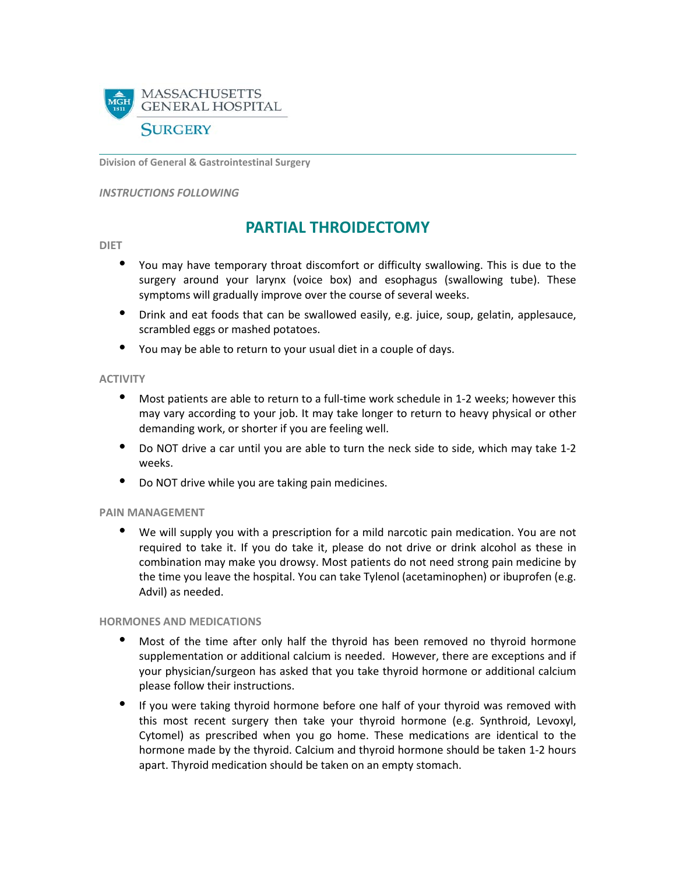

**Division of General & Gastrointestinal Surgery**

#### *INSTRUCTIONS FOLLOWING*

# **PARTIAL THROIDECTOMY**

#### **DIET**

- You may have temporary throat discomfort or difficulty swallowing. This is due to the surgery around your larynx (voice box) and esophagus (swallowing tube). These symptoms will gradually improve over the course of several weeks.
- Drink and eat foods that can be swallowed easily, e.g. juice, soup, gelatin, applesauce, scrambled eggs or mashed potatoes.
- You may be able to return to your usual diet in a couple of days.

# **ACTIVITY**

- Most patients are able to return to a full-time work schedule in 1-2 weeks; however this may vary according to your job. It may take longer to return to heavy physical or other demanding work, or shorter if you are feeling well.
- Do NOT drive a car until you are able to turn the neck side to side, which may take 1-2 weeks.
- Do NOT drive while you are taking pain medicines.

## **PAIN MANAGEMENT**

• We will supply you with a prescription for a mild narcotic pain medication. You are not required to take it. If you do take it, please do not drive or drink alcohol as these in combination may make you drowsy. Most patients do not need strong pain medicine by the time you leave the hospital. You can take Tylenol (acetaminophen) or ibuprofen (e.g. Advil) as needed.

## **HORMONES AND MEDICATIONS**

- Most of the time after only half the thyroid has been removed no thyroid hormone supplementation or additional calcium is needed. However, there are exceptions and if your physician/surgeon has asked that you take thyroid hormone or additional calcium please follow their instructions.
- If you were taking thyroid hormone before one half of your thyroid was removed with this most recent surgery then take your thyroid hormone (e.g. Synthroid, Levoxyl, Cytomel) as prescribed when you go home. These medications are identical to the hormone made by the thyroid. Calcium and thyroid hormone should be taken 1-2 hours apart. Thyroid medication should be taken on an empty stomach.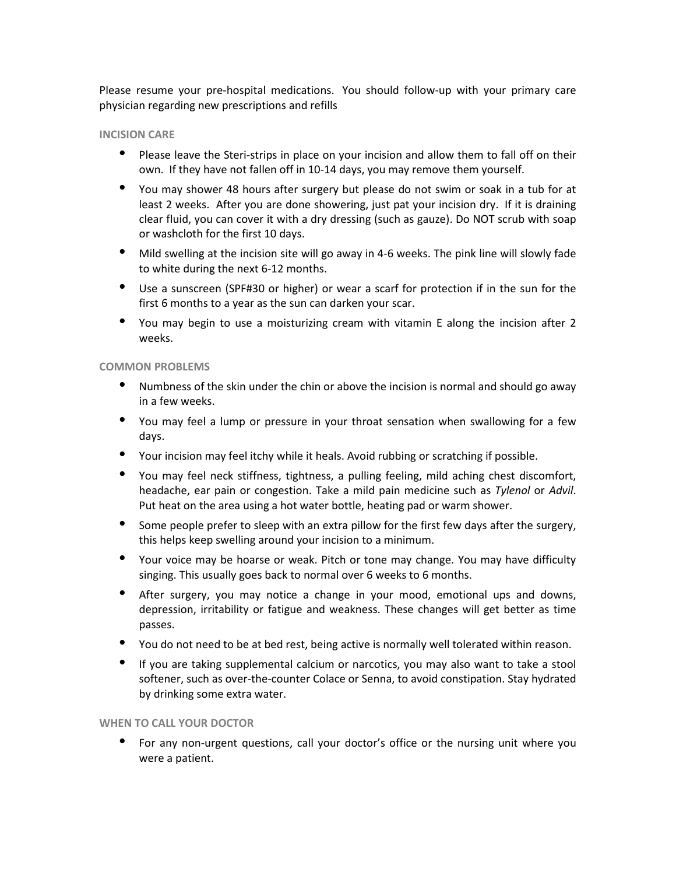Please resume your pre-hospital medications. You should follow-up with your primary care physician regarding new prescriptions and refills

# **INCISION CARE**

- Please leave the Steri-strips in place on your incision and allow them to fall off on their own. If they have not fallen off in 10-14 days, you may remove them yourself.
- You may shower 48 hours after surgery but please do not swim or soak in a tub for at least 2 weeks. After you are done showering, just pat your incision dry. If it is draining clear fluid, you can cover it with a dry dressing (such as gauze). Do NOT scrub with soap or washcloth for the first 10 days.
- Mild swelling at the incision site will go away in 4-6 weeks. The pink line will slowly fade to white during the next 6-12 months.
- Use a sunscreen (SPF#30 or higher) or wear a scarf for protection if in the sun for the first 6 months to a year as the sun can darken your scar.
- You may begin to use a moisturizing cream with vitamin E along the incision after 2 weeks.

# **COMMON PROBLEMS**

- Numbness of the skin under the chin or above the incision is normal and should go away in a few weeks.
- You may feel a lump or pressure in your throat sensation when swallowing for a few days.
- Your incision may feel itchy while it heals. Avoid rubbing or scratching if possible.
- You may feel neck stiffness, tightness, a pulling feeling, mild aching chest discomfort, headache, ear pain or congestion. Take a mild pain medicine such as *Tylenol* or *Advil*. Put heat on the area using a hot water bottle, heating pad or warm shower.
- Some people prefer to sleep with an extra pillow for the first few days after the surgery, this helps keep swelling around your incision to a minimum.
- Your voice may be hoarse or weak. Pitch or tone may change. You may have difficulty singing. This usually goes back to normal over 6 weeks to 6 months.
- After surgery, you may notice a change in your mood, emotional ups and downs, depression, irritability or fatigue and weakness. These changes will get better as time passes.
- You do not need to be at bed rest, being active is normally well tolerated within reason.
- If you are taking supplemental calcium or narcotics, you may also want to take a stool softener, such as over-the-counter Colace or Senna, to avoid constipation. Stay hydrated by drinking some extra water.

## **WHEN TO CALL YOUR DOCTOR**

• For any non-urgent questions, call your doctor's office or the nursing unit where you were a patient.